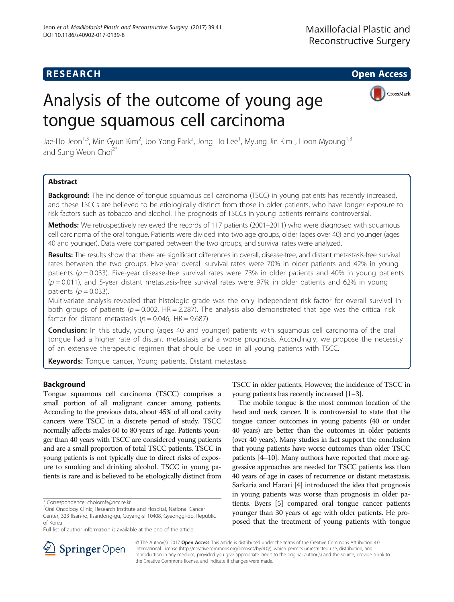# **RESEARCH CHE Open Access**

# Analysis of the outcome of young age tongue squamous cell carcinoma



Jae-Ho Jeon<sup>1,3</sup>, Min Gyun Kim<sup>2</sup>, Joo Yong Park<sup>2</sup>, Jong Ho Lee<sup>1</sup>, Myung Jin Kim<sup>1</sup>, Hoon Myoung<sup>1,3</sup> and Sung Weon Choi<sup>2\*</sup>

# Abstract

**Background:** The incidence of tongue squamous cell carcinoma (TSCC) in young patients has recently increased, and these TSCCs are believed to be etiologically distinct from those in older patients, who have longer exposure to risk factors such as tobacco and alcohol. The prognosis of TSCCs in young patients remains controversial.

Methods: We retrospectively reviewed the records of 117 patients (2001-2011) who were diagnosed with squamous cell carcinoma of the oral tongue. Patients were divided into two age groups, older (ages over 40) and younger (ages 40 and younger). Data were compared between the two groups, and survival rates were analyzed.

Results: The results show that there are significant differences in overall, disease-free, and distant metastasis-free survival rates between the two groups. Five-year overall survival rates were 70% in older patients and 42% in young patients ( $p = 0.033$ ). Five-year disease-free survival rates were 73% in older patients and 40% in young patients  $(p=0.011)$ , and 5-year distant metastasis-free survival rates were 97% in older patients and 62% in young patients ( $p = 0.033$ ).

Multivariate analysis revealed that histologic grade was the only independent risk factor for overall survival in both groups of patients ( $p = 0.002$ , HR = 2.287). The analysis also demonstrated that age was the critical risk factor for distant metastasis ( $p = 0.046$ , HR = 9.687).

**Conclusion:** In this study, young (ages 40 and younger) patients with squamous cell carcinoma of the oral tongue had a higher rate of distant metastasis and a worse prognosis. Accordingly, we propose the necessity of an extensive therapeutic regimen that should be used in all young patients with TSCC.

Keywords: Tongue cancer, Young patients, Distant metastasis

# Background

Tongue squamous cell carcinoma (TSCC) comprises a small portion of all malignant cancer among patients. According to the previous data, about 45% of all oral cavity cancers were TSCC in a discrete period of study. TSCC normally affects males 60 to 80 years of age. Patients younger than 40 years with TSCC are considered young patients and are a small proportion of total TSCC patients. TSCC in young patients is not typically due to direct risks of exposure to smoking and drinking alcohol. TSCC in young patients is rare and is believed to be etiologically distinct from TSCC in older patients. However, the incidence of TSCC in young patients has recently increased [\[1](#page-5-0)–[3](#page-5-0)].

The mobile tongue is the most common location of the head and neck cancer. It is controversial to state that the tongue cancer outcomes in young patients (40 or under 40 years) are better than the outcomes in older patients (over 40 years). Many studies in fact support the conclusion that young patients have worse outcomes than older TSCC patients [\[4](#page-5-0)–[10\]](#page-6-0). Many authors have reported that more aggressive approaches are needed for TSCC patients less than 40 years of age in cases of recurrence or distant metastasis. Sarkaria and Harari [\[4](#page-5-0)] introduced the idea that prognosis in young patients was worse than prognosis in older patients. Byers [\[5\]](#page-5-0) compared oral tongue cancer patients younger than 30 years of age with older patients. He proposed that the treatment of young patients with tongue



© The Author(s). 2017 Open Access This article is distributed under the terms of the Creative Commons Attribution 4.0 International License ([http://creativecommons.org/licenses/by/4.0/\)](http://creativecommons.org/licenses/by/4.0/), which permits unrestricted use, distribution, and reproduction in any medium, provided you give appropriate credit to the original author(s) and the source, provide a link to the Creative Commons license, and indicate if changes were made.

<sup>\*</sup> Correspondence: [choiomfs@ncc.re.kr](mailto:choiomfs@ncc.re.kr) <sup>2</sup>

<sup>&</sup>lt;sup>2</sup>Oral Oncology Clinic, Research Institute and Hospital, National Cancer Center, 323 Ilsan-ro, Ilsandong-gu, Goyang-si 10408, Gyeonggi-do, Republic of Korea

Full list of author information is available at the end of the article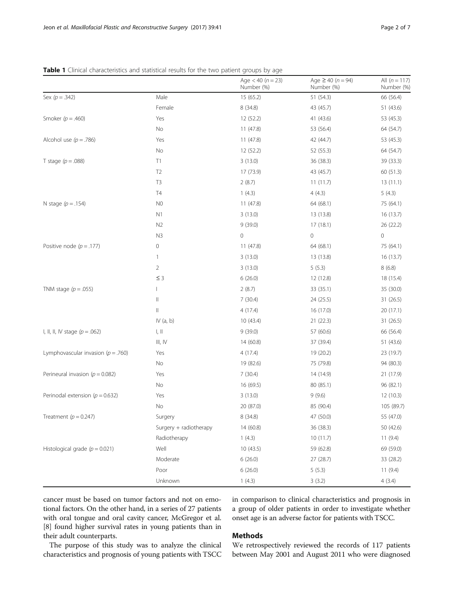<span id="page-1-0"></span>

| Table 1 Clinical characteristics and statistical results for the two patient groups by age |  |  |
|--------------------------------------------------------------------------------------------|--|--|
|--------------------------------------------------------------------------------------------|--|--|

|                                        |                        | Age $<$ 40 ( $n = 23$ )<br>Number (%) | Age $\geq 40$ (n = 94)<br>Number (%) | All $(n = 117)$<br>Number (%) |
|----------------------------------------|------------------------|---------------------------------------|--------------------------------------|-------------------------------|
| Sex $(p=.342)$                         | Male                   | 15(65.2)                              | 51(54.3)                             | 66 (56.4)                     |
|                                        | Female                 | 8(34.8)                               | 43 (45.7)                            | 51 (43.6)                     |
| Smoker ( $p = .460$ )                  | Yes                    | 12 (52.2)                             | 41 (43.6)                            | 53 (45.3)                     |
|                                        | No                     | 11 (47.8)                             | 53 (56.4)                            | 64 (54.7)                     |
| Alcohol use ( $p = .786$ )             | Yes                    | 11(47.8)                              | 42 (44.7)                            | 53 (45.3)                     |
|                                        | No                     | 12 (52.2)                             | 52 (55.3)                            | 64 (54.7)                     |
| T stage ( $p = .088$ )                 | T1                     | 3(13.0)                               | 36 (38.3)                            | 39 (33.3)                     |
|                                        | T <sub>2</sub>         | 17 (73.9)                             | 43 (45.7)                            | 60 (51.3)                     |
|                                        | T <sub>3</sub>         | 2(8.7)                                | 11(11.7)                             | 13(11.1)                      |
|                                        | T <sub>4</sub>         | 1(4.3)                                | 4(4.3)                               | 5(4.3)                        |
| N stage $(p=.154)$                     | N <sub>0</sub>         | 11(47.8)                              | 64 (68.1)                            | 75 (64.1)                     |
|                                        | N1                     | 3(13.0)                               | 13 (13.8)                            | 16 (13.7)                     |
|                                        | N <sub>2</sub>         | 9(39.0)                               | 17(18.1)                             | 26 (22.2)                     |
|                                        | N <sub>3</sub>         | $\mathbf 0$                           | $\circ$                              | 0                             |
| Positive node ( $p = .177$ )           | $\mathsf{O}\xspace$    | 11(47.8)                              | 64 (68.1)                            | 75 (64.1)                     |
|                                        | $\mathbf{1}$           | 3(13.0)                               | 13 (13.8)                            | 16(13.7)                      |
|                                        | $\overline{2}$         | 3(13.0)                               | 5(5.3)                               | 8(6.8)                        |
|                                        | $\leq$ 3               | 6(26.0)                               | 12 (12.8)                            | 18 (15.4)                     |
| TNM stage $(p=.055)$                   |                        | 2(8.7)                                | 33 (35.1)                            | 35 (30.0)                     |
|                                        | $\parallel$            | 7(30.4)                               | 24 (25.5)                            | 31 (26.5)                     |
|                                        | $\parallel$            | 4(17.4)                               | 16 (17.0)                            | 20 (17.1)                     |
|                                        | IV $(a, b)$            | 10 (43.4)                             | 21(22.3)                             | 31 (26.5)                     |
| I, II, II, IV stage $(p = .062)$       | $\parallel, \parallel$ | 9(39.0)                               | 57 (60.6)                            | 66 (56.4)                     |
|                                        | III, IV                | 14(60.8)                              | 37 (39.4)                            | 51 (43.6)                     |
| Lymphovascular invasion ( $p = .760$ ) | Yes                    | 4(17.4)                               | 19 (20.2)                            | 23 (19.7)                     |
|                                        | No                     | 19 (82.6)                             | 75 (79.8)                            | 94 (80.3)                     |
| Perineural invasion ( $p = 0.082$ )    | Yes                    | 7(30.4)                               | 14 (14.9)                            | 21 (17.9)                     |
|                                        | No                     | 16 (69.5)                             | 80 (85.1)                            | 96 (82.1)                     |
| Perinodal extension ( $p = 0.632$ )    | Yes                    | 3(13.0)                               | 9(9.6)                               | 12 (10.3)                     |
|                                        | No                     | 20 (87.0)                             | 85 (90.4)                            | 105 (89.7)                    |
| Treatment $(p = 0.247)$                | Surgery                | 8 (34.8)                              | 47 (50.0)                            | 55 (47.0)                     |
|                                        | Surgery + radiotherapy | 14(60.8)                              | 36 (38.3)                            | 50 (42.6)                     |
|                                        | Radiotherapy           | 1(4.3)                                | 10(11.7)                             | 11(9.4)                       |
| Histological grade $(p = 0.021)$       | Well                   | 10(43.5)                              | 59 (62.8)                            | 69 (59.0)                     |
|                                        | Moderate               | 6(26.0)                               | 27 (28.7)                            | 33 (28.2)                     |
|                                        | Poor                   | 6(26.0)                               | 5(5.3)                               | 11(9.4)                       |
|                                        | Unknown                | 1(4.3)                                | 3(3.2)                               | 4(3.4)                        |

cancer must be based on tumor factors and not on emotional factors. On the other hand, in a series of 27 patients with oral tongue and oral cavity cancer, McGregor et al. [[8\]](#page-6-0) found higher survival rates in young patients than in their adult counterparts.

in comparison to clinical characteristics and prognosis in a group of older patients in order to investigate whether onset age is an adverse factor for patients with TSCC.

# Methods

The purpose of this study was to analyze the clinical characteristics and prognosis of young patients with TSCC

We retrospectively reviewed the records of 117 patients between May 2001 and August 2011 who were diagnosed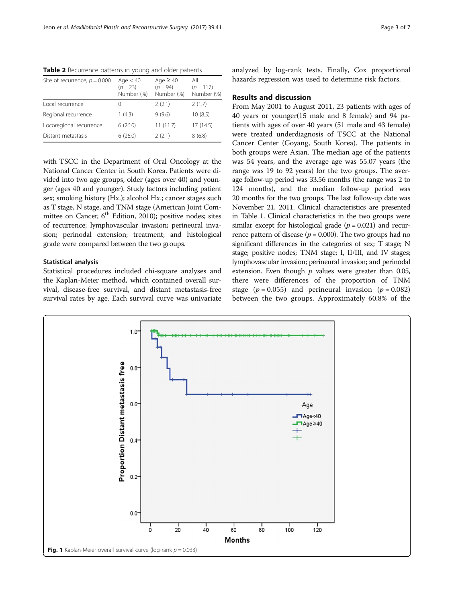<span id="page-2-0"></span>Table 2 Recurrence patterns in young and older patients

| Site of recurrence, $p = 0.000$ | Age $< 40$<br>$(n = 23)$<br>Number (%) | Age $\geq 40$<br>$(n = 94)$<br>Number (%) | All<br>$(n = 117)$<br>Number (%) |
|---------------------------------|----------------------------------------|-------------------------------------------|----------------------------------|
| Local recurrence                | $\left( \right)$                       | 2(2.1)                                    | 2(1.7)                           |
| Regional recurrence             | 1(4.3)                                 | 9(9.6)                                    | 10(8.5)                          |
| Locoregional recurrence         | 6(26.0)                                | 11(11.7)                                  | 17 (14.5)                        |
| Distant metastasis              | 6(26.0)                                | 2(2.1)                                    | 8(6.8)                           |

with TSCC in the Department of Oral Oncology at the National Cancer Center in South Korea. Patients were divided into two age groups, older (ages over 40) and younger (ages 40 and younger). Study factors including patient sex; smoking history (Hx.); alcohol Hx.; cancer stages such as T stage, N stage, and TNM stage (American Joint Committee on Cancer,  $6<sup>th</sup>$  Edition, 2010); positive nodes; sites of recurrence; lymphovascular invasion; perineural invasion; perinodal extension; treatment; and histological grade were compared between the two groups.

# Statistical analysis

Statistical procedures included chi-square analyses and the Kaplan-Meier method, which contained overall survival, disease-free survival, and distant metastasis-free survival rates by age. Each survival curve was univariate analyzed by log-rank tests. Finally, Cox proportional hazards regression was used to determine risk factors.

# Results and discussion

From May 2001 to August 2011, 23 patients with ages of 40 years or younger(15 male and 8 female) and 94 patients with ages of over 40 years (51 male and 43 female) were treated underdiagnosis of TSCC at the National Cancer Center (Goyang, South Korea). The patients in both groups were Asian. The median age of the patients was 54 years, and the average age was 55.07 years (the range was 19 to 92 years) for the two groups. The average follow-up period was 33.56 months (the range was 2 to 124 months), and the median follow-up period was 20 months for the two groups. The last follow-up date was November 21, 2011. Clinical characteristics are presented in Table [1.](#page-1-0) Clinical characteristics in the two groups were similar except for histological grade  $(p = 0.021)$  and recurrence pattern of disease ( $p = 0.000$ ). The two groups had no significant differences in the categories of sex; T stage; N stage; positive nodes; TNM stage; I, II/III, and IV stages; lymphovascular invasion; perineural invasion; and perinodal extension. Even though  $p$  values were greater than 0.05, there were differences of the proportion of TNM stage ( $p = 0.055$ ) and perineural invasion ( $p = 0.082$ ) between the two groups. Approximately 60.8% of the

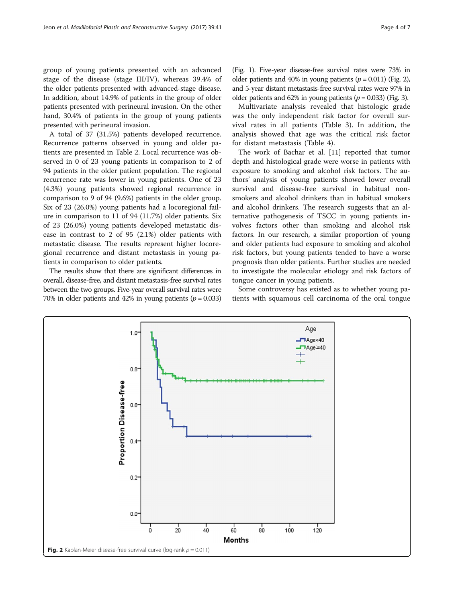group of young patients presented with an advanced stage of the disease (stage III/IV), whereas 39.4% of the older patients presented with advanced-stage disease. In addition, about 14.9% of patients in the group of older patients presented with perineural invasion. On the other hand, 30.4% of patients in the group of young patients presented with perineural invasion.

A total of 37 (31.5%) patients developed recurrence. Recurrence patterns observed in young and older patients are presented in Table [2.](#page-2-0) Local recurrence was observed in 0 of 23 young patients in comparison to 2 of 94 patients in the older patient population. The regional recurrence rate was lower in young patients. One of 23 (4.3%) young patients showed regional recurrence in comparison to 9 of 94 (9.6%) patients in the older group. Six of 23 (26.0%) young patients had a locoregional failure in comparison to 11 of 94 (11.7%) older patients. Six of 23 (26.0%) young patients developed metastatic disease in contrast to 2 of 95 (2.1%) older patients with metastatic disease. The results represent higher locoregional recurrence and distant metastasis in young patients in comparison to older patients.

The results show that there are significant differences in overall, disease-free, and distant metastasis-free survival rates between the two groups. Five-year overall survival rates were 70% in older patients and 42% in young patients ( $p = 0.033$ )

(Fig. [1\)](#page-2-0). Five-year disease-free survival rates were 73% in older patients and 40% in young patients ( $p = 0.011$ ) (Fig. 2), and 5-year distant metastasis-free survival rates were 97% in older patients and 62% in young patients ( $p = 0.033$ ) (Fig. [3](#page-4-0)).

Multivariate analysis revealed that histologic grade was the only independent risk factor for overall survival rates in all patients (Table [3](#page-4-0)). In addition, the analysis showed that age was the critical risk factor for distant metastasis (Table [4](#page-4-0)).

The work of Bachar et al. [[11](#page-6-0)] reported that tumor depth and histological grade were worse in patients with exposure to smoking and alcohol risk factors. The authors' analysis of young patients showed lower overall survival and disease-free survival in habitual nonsmokers and alcohol drinkers than in habitual smokers and alcohol drinkers. The research suggests that an alternative pathogenesis of TSCC in young patients involves factors other than smoking and alcohol risk factors. In our research, a similar proportion of young and older patients had exposure to smoking and alcohol risk factors, but young patients tended to have a worse prognosis than older patients. Further studies are needed to investigate the molecular etiology and risk factors of tongue cancer in young patients.

Some controversy has existed as to whether young patients with squamous cell carcinoma of the oral tongue

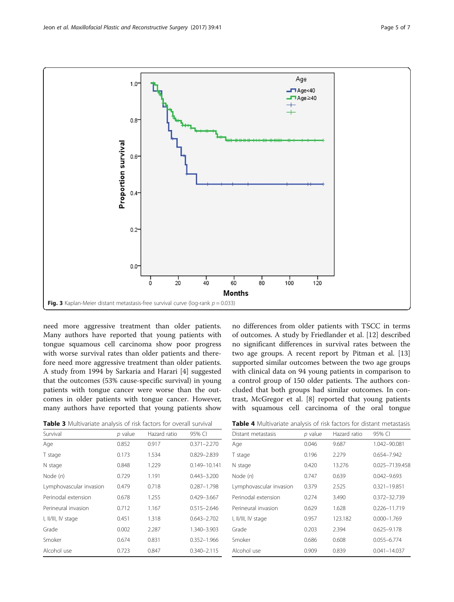<span id="page-4-0"></span>

need more aggressive treatment than older patients. Many authors have reported that young patients with tongue squamous cell carcinoma show poor progress with worse survival rates than older patients and therefore need more aggressive treatment than older patients. A study from 1994 by Sarkaria and Harari [[4](#page-5-0)] suggested that the outcomes (53% cause-specific survival) in young patients with tongue cancer were worse than the outcomes in older patients with tongue cancer. However, many authors have reported that young patients show

Table 3 Multivariate analysis of risk factors for overall survival

no differences from older patients with TSCC in terms of outcomes. A study by Friedlander et al. [[12\]](#page-6-0) described no significant differences in survival rates between the two age groups. A recent report by Pitman et al. [[13](#page-6-0)] supported similar outcomes between the two age groups with clinical data on 94 young patients in comparison to a control group of 150 older patients. The authors concluded that both groups had similar outcomes. In contrast, McGregor et al. [[8\]](#page-6-0) reported that young patients with squamous cell carcinoma of the oral tongue

| Survival                | $p$ value | Hazard ratio | 95% CI          |
|-------------------------|-----------|--------------|-----------------|
| Age                     | 0.852     | 0.917        | $0.371 - 2.270$ |
| T stage                 | 0.173     | 1.534        | 0.829-2.839     |
| N stage                 | 0.848     | 1.229        | 0.149-10.141    |
| Node $(n)$              | 0.729     | 1.191        | $0.443 - 3.200$ |
| Lymphovascular invasion | 0.479     | 0.718        | $0.287 - 1.798$ |
| Perinodal extension     | 0.678     | 1.255        | 0.429-3.667     |
| Perineural invasion     | 0.712     | 1.167        | $0.515 - 2.646$ |
| I, II/III, IV stage     | 0.451     | 1.318        | $0.643 - 2.702$ |
| Grade                   | 0.002     | 2.287        | 1.340-3.903     |
| Smoker                  | 0.674     | 0.831        | $0.352 - 1.966$ |
| Alcohol use             | 0.723     | 0.847        | 0.340-2.115     |
|                         |           |              |                 |

Table 4 Multivariate analysis of risk factors for distant metastasis

| Distant metastasis      | $p$ value | Hazard ratio | 95% CI           |
|-------------------------|-----------|--------------|------------------|
| Age                     | 0.046     | 9.687        | 1.042-90.081     |
| T stage                 | 0.196     | 2.279        | 0.654-7.942      |
| N stage                 | 0.420     | 13.276       | 0.025-7139.458   |
| Node $(n)$              | 0.747     | 0.639        | $0.042 - 9.693$  |
| Lymphovascular invasion | 0.379     | 2.525        | 0.321-19.851     |
| Perinodal extension     | 0.274     | 3.490        | 0.372-32.739     |
| Perineural invasion     | 0.629     | 1.628        | 0.226-11.719     |
| I, II/III, IV stage     | 0.957     | 123.182      | $0.000 - 1.769$  |
| Grade                   | 0.203     | 2.394        | $0.625 - 9.178$  |
| Smoker                  | 0.686     | 0.608        | $0.055 - 6.774$  |
| Alcohol use             | 0.909     | 0.839        | $0.041 - 14.037$ |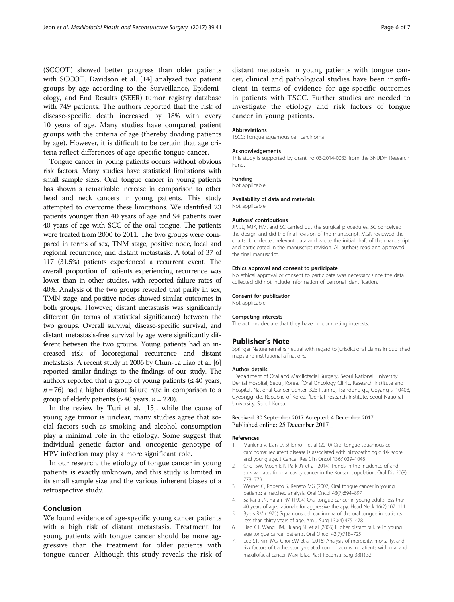<span id="page-5-0"></span>(SCCOT) showed better progress than older patients with SCCOT. Davidson et al. [\[14\]](#page-6-0) analyzed two patient groups by age according to the Surveillance, Epidemiology, and End Results (SEER) tumor registry database with 749 patients. The authors reported that the risk of disease-specific death increased by 18% with every 10 years of age. Many studies have compared patient groups with the criteria of age (thereby dividing patients by age). However, it is difficult to be certain that age criteria reflect differences of age-specific tongue cancer.

Tongue cancer in young patients occurs without obvious risk factors. Many studies have statistical limitations with small sample sizes. Oral tongue cancer in young patients has shown a remarkable increase in comparison to other head and neck cancers in young patients. This study attempted to overcome these limitations. We identified 23 patients younger than 40 years of age and 94 patients over 40 years of age with SCC of the oral tongue. The patients were treated from 2000 to 2011. The two groups were compared in terms of sex, TNM stage, positive node, local and regional recurrence, and distant metastasis. A total of 37 of 117 (31.5%) patients experienced a recurrent event. The overall proportion of patients experiencing recurrence was lower than in other studies, with reported failure rates of 40%. Analysis of the two groups revealed that parity in sex, TMN stage, and positive nodes showed similar outcomes in both groups. However, distant metastasis was significantly different (in terms of statistical significance) between the two groups. Overall survival, disease-specific survival, and distant metastasis-free survival by age were significantly different between the two groups. Young patients had an increased risk of locoregional recurrence and distant metastasis. A recent study in 2006 by Chun-Ta Liao et al. [6] reported similar findings to the findings of our study. The authors reported that a group of young patients  $(\leq 40 \text{ years},$  $n = 76$ ) had a higher distant failure rate in comparison to a group of elderly patients ( $> 40$  years,  $n = 220$ ).

In the review by Turi et al. [\[15\]](#page-6-0), while the cause of young age tumor is unclear, many studies agree that social factors such as smoking and alcohol consumption play a minimal role in the etiology. Some suggest that individual genetic factor and oncogenic genotype of HPV infection may play a more significant role.

In our research, the etiology of tongue cancer in young patients is exactly unknown, and this study is limited in its small sample size and the various inherent biases of a retrospective study.

## Conclusion

We found evidence of age-specific young cancer patients with a high risk of distant metastasis. Treatment for young patients with tongue cancer should be more aggressive than the treatment for older patients with tongue cancer. Although this study reveals the risk of distant metastasis in young patients with tongue cancer, clinical and pathological studies have been insufficient in terms of evidence for age-specific outcomes in patients with TSCC. Further studies are needed to investigate the etiology and risk factors of tongue cancer in young patients.

#### Abbreviations

TSCC: Tongue squamous cell carcinoma

#### Acknowledgements

This study is supported by grant no 03-2014-0033 from the SNUDH Research Fund.

## Funding

Not applicable

#### Availability of data and materials

Not applicable

## Authors' contributions

JP, JL, MJK, HM, and SC carried out the surgical procedures. SC conceived the design and did the final revision of the manuscript. MGK reviewed the charts. JJ collected relevant data and wrote the initial draft of the manuscript and participated in the manuscript revision. All authors read and approved the final manuscript.

#### Ethics approval and consent to participate

No ethical approval or consent to participate was necessary since the data collected did not include information of personal identification.

#### Consent for publication

Not applicable

## Competing interests

The authors declare that they have no competing interests.

### Publisher's Note

Springer Nature remains neutral with regard to jurisdictional claims in published maps and institutional affiliations.

#### Author details

<sup>1</sup>Department of Oral and Maxillofacial Surgery, Seoul National University Dental Hospital, Seoul, Korea. <sup>2</sup>Oral Oncology Clinic, Research Institute and Hospital, National Cancer Center, 323 Ilsan-ro, Ilsandong-gu, Goyang-si 10408, Gyeonggi-do, Republic of Korea. <sup>3</sup>Dental Research Institute, Seoul National University, Seoul, Korea.

## Received: 30 September 2017 Accepted: 4 December 2017 Published online: 25 December 2017

#### References

- Marilena V, Dan D, Shlomo T et al (2010) Oral tongue squamous cell carcinoma: recurrent disease is associated with histopathologic risk score and young age. J Cancer Res Clin Oncol 136:1039–1048
- 2. Choi SW, Moon E-K, Park JY et al (2014) Trends in the incidence of and survival rates for oral cavity cancer in the Korean population. Oral Dis 20(8): 773–779
- 3. Werner G, Roberto S, Renato MG (2007) Oral tongue cancer in young patients: a matched analysis. Oral Oncol 43(7):894–897
- 4. Sarkaria JN, Harari PM (1994) Oral tongue cancer in young adults less than 40 years of age: rationale for aggressive therapy. Head Neck 16(2):107–111
- 5. Byers RM (1975) Squamous cell carcinoma of the oral tongue in patients less than thirty years of age. Am J Surg 130(4):475–478
- 6. Liao CT, Wang HM, Huang SF et al (2006) Higher distant failure in young age tongue cancer patients. Oral Oncol 42(7):718–725
- 7. Lee ST, Kim MG, Choi SW et al (2016) Analysis of morbidity, mortality, and risk factors of tracheostomy-related complications in patients with oral and maxillofacial cancer. Maxillofac Plast Reconstr Surg 38(1):32